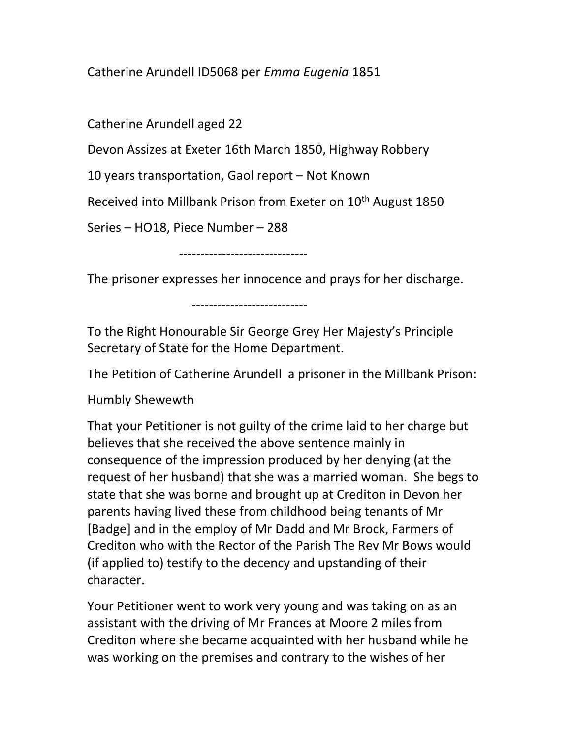Catherine Arundell ID5068 per Emma Eugenia 1851

Catherine Arundell aged 22

Devon Assizes at Exeter 16th March 1850, Highway Robbery

10 years transportation, Gaol report – Not Known

Received into Millbank Prison from Exeter on 10<sup>th</sup> August 1850

Series – HO18, Piece Number – 288

------------------------------

The prisoner expresses her innocence and prays for her discharge.

---------------------------

To the Right Honourable Sir George Grey Her Majesty's Principle Secretary of State for the Home Department.

The Petition of Catherine Arundell a prisoner in the Millbank Prison:

Humbly Shewewth

That your Petitioner is not guilty of the crime laid to her charge but believes that she received the above sentence mainly in consequence of the impression produced by her denying (at the request of her husband) that she was a married woman. She begs to state that she was borne and brought up at Crediton in Devon her parents having lived these from childhood being tenants of Mr [Badge] and in the employ of Mr Dadd and Mr Brock, Farmers of Crediton who with the Rector of the Parish The Rev Mr Bows would (if applied to) testify to the decency and upstanding of their character.

Your Petitioner went to work very young and was taking on as an assistant with the driving of Mr Frances at Moore 2 miles from Crediton where she became acquainted with her husband while he was working on the premises and contrary to the wishes of her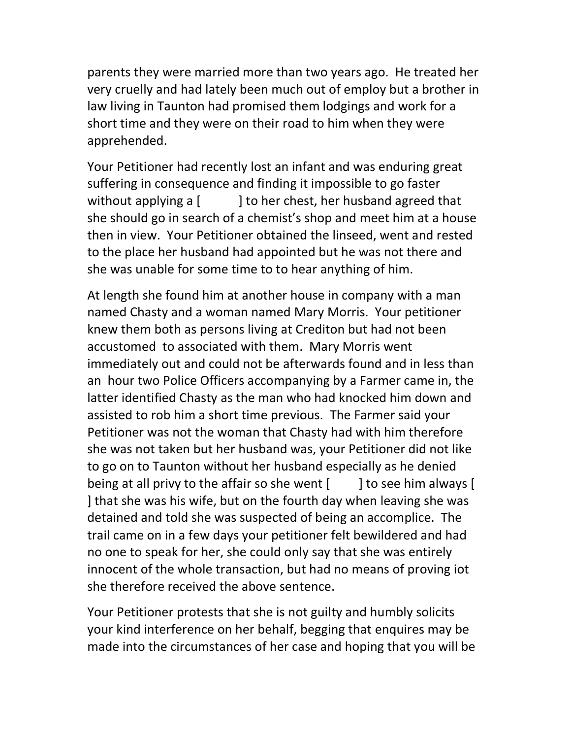parents they were married more than two years ago. He treated her very cruelly and had lately been much out of employ but a brother in law living in Taunton had promised them lodgings and work for a short time and they were on their road to him when they were apprehended.

Your Petitioner had recently lost an infant and was enduring great suffering in consequence and finding it impossible to go faster without applying a [ ] to her chest, her husband agreed that she should go in search of a chemist's shop and meet him at a house then in view. Your Petitioner obtained the linseed, went and rested to the place her husband had appointed but he was not there and she was unable for some time to to hear anything of him.

At length she found him at another house in company with a man named Chasty and a woman named Mary Morris. Your petitioner knew them both as persons living at Crediton but had not been accustomed to associated with them. Mary Morris went immediately out and could not be afterwards found and in less than an hour two Police Officers accompanying by a Farmer came in, the latter identified Chasty as the man who had knocked him down and assisted to rob him a short time previous. The Farmer said your Petitioner was not the woman that Chasty had with him therefore she was not taken but her husband was, your Petitioner did not like to go on to Taunton without her husband especially as he denied being at all privy to the affair so she went  $\begin{bmatrix} 1 \\ 1 \end{bmatrix}$  to see him always  $\begin{bmatrix} 1 \\ 1 \end{bmatrix}$ ] that she was his wife, but on the fourth day when leaving she was detained and told she was suspected of being an accomplice. The trail came on in a few days your petitioner felt bewildered and had no one to speak for her, she could only say that she was entirely innocent of the whole transaction, but had no means of proving iot she therefore received the above sentence.

Your Petitioner protests that she is not guilty and humbly solicits your kind interference on her behalf, begging that enquires may be made into the circumstances of her case and hoping that you will be